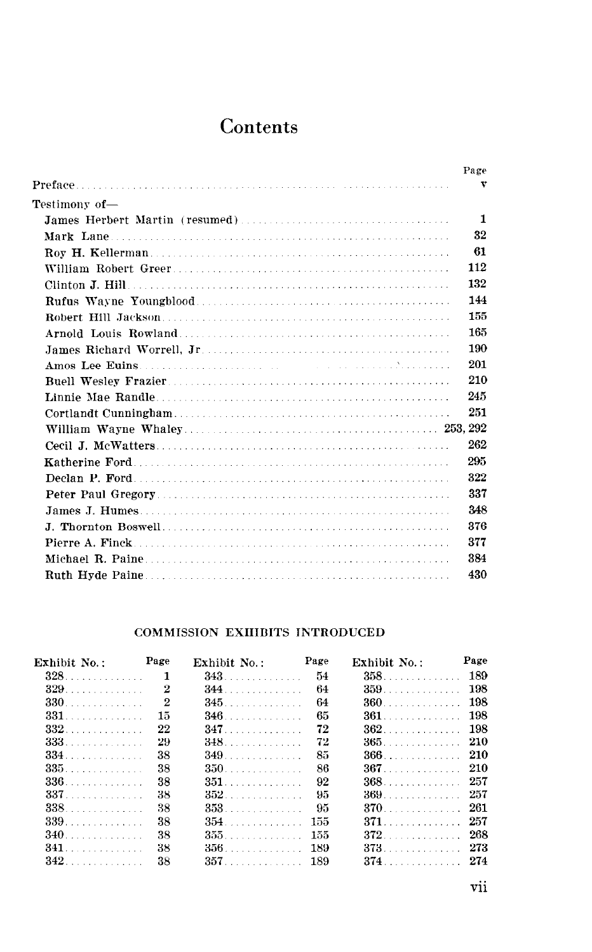## **Contents**

|                     | Page         |
|---------------------|--------------|
|                     | v            |
| Testimony of—       |              |
|                     | $\mathbf{1}$ |
|                     | 32           |
|                     | 61           |
|                     | 112          |
|                     | 132          |
|                     | 144          |
| Robert Hill Jackson | 155          |
|                     | 165          |
|                     | 190          |
|                     | 201          |
|                     | 210          |
|                     | 245          |
|                     | 251          |
|                     |              |
|                     | 262          |
|                     | 295          |
|                     | 322          |
|                     | 337          |
|                     | 348          |
|                     | 376          |
|                     | 377          |
|                     | 384          |
|                     | 430          |
|                     |              |

## COMMISSION EXHIBITS INTRODUCED

| Exhibit No.: Page                     |                | Exhibit No.: Page |      | Exhibit No.: | Page |
|---------------------------------------|----------------|-------------------|------|--------------|------|
|                                       | -1             | <b>343</b>        | - 54 | $358$ $189$  |      |
|                                       | 2              | <b>344</b>        | -64  | $359$ $198$  |      |
| <b>330 <i>CONSIDERED AT A 430</i></b> | $\overline{2}$ | $345$             | 64   | $360$ 198    |      |
| <b>331</b> .                          | $15\,$         |                   | 65   |              |      |
| $332$                                 | 22             | <b>347</b>        | 72   |              |      |
| 333.                                  | 29             | <b>348</b> .      | 72   | $365.$ 210   |      |
|                                       | 38             | 349               | 85   |              |      |
| 335.                                  | 38             | $350.$            | 86   | $367.$ 210   |      |
| 336                                   | 38             | $351.$            | 92   | 368. 257     |      |
| 337.                                  | 38             |                   | 95   | 369. 257     |      |
| 338.                                  | 38             | 353.              | -95  | 370. 261     |      |
| 339.                                  | 38             | 354.              | -155 | 371. 257     |      |
| <b>340</b>                            | 38             | 355.              | -155 | 372. 268     |      |
| 341.                                  | 38             | 356.              | 189  | 373. 273     |      |
| $342$                                 | 38             | $357$ 189         |      | 374. 274     |      |